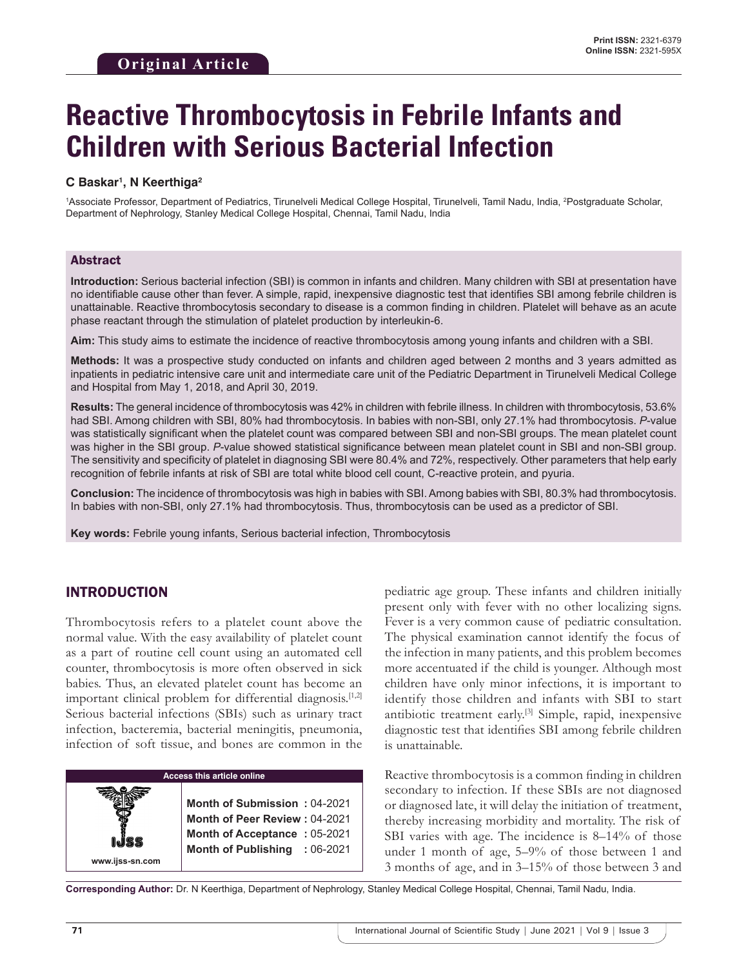# **Reactive Thrombocytosis in Febrile Infants and Children with Serious Bacterial Infection**

### **C Baskar1 , N Keerthiga2**

1 Associate Professor, Department of Pediatrics, Tirunelveli Medical College Hospital, Tirunelveli, Tamil Nadu, India, 2 Postgraduate Scholar, Department of Nephrology, Stanley Medical College Hospital, Chennai, Tamil Nadu, India

## Abstract

**Introduction:** Serious bacterial infection (SBI) is common in infants and children. Many children with SBI at presentation have no identifiable cause other than fever. A simple, rapid, inexpensive diagnostic test that identifies SBI among febrile children is unattainable. Reactive thrombocytosis secondary to disease is a common finding in children. Platelet will behave as an acute phase reactant through the stimulation of platelet production by interleukin-6.

**Aim:** This study aims to estimate the incidence of reactive thrombocytosis among young infants and children with a SBI.

**Methods:** It was a prospective study conducted on infants and children aged between 2 months and 3 years admitted as inpatients in pediatric intensive care unit and intermediate care unit of the Pediatric Department in Tirunelveli Medical College and Hospital from May 1, 2018, and April 30, 2019.

**Results:** The general incidence of thrombocytosis was 42% in children with febrile illness. In children with thrombocytosis, 53.6% had SBI. Among children with SBI, 80% had thrombocytosis. In babies with non-SBI, only 27.1% had thrombocytosis. *P*-value was statistically significant when the platelet count was compared between SBI and non-SBI groups. The mean platelet count was higher in the SBI group. *P*-value showed statistical significance between mean platelet count in SBI and non-SBI group. The sensitivity and specificity of platelet in diagnosing SBI were 80.4% and 72%, respectively. Other parameters that help early recognition of febrile infants at risk of SBI are total white blood cell count, C-reactive protein, and pyuria.

**Conclusion:** The incidence of thrombocytosis was high in babies with SBI. Among babies with SBI, 80.3% had thrombocytosis. In babies with non-SBI, only 27.1% had thrombocytosis. Thus, thrombocytosis can be used as a predictor of SBI.

**Key words:** Febrile young infants, Serious bacterial infection, Thrombocytosis

# INTRODUCTION

**www.ijss-sn.com**

Thrombocytosis refers to a platelet count above the normal value. With the easy availability of platelet count as a part of routine cell count using an automated cell counter, thrombocytosis is more often observed in sick babies. Thus, an elevated platelet count has become an important clinical problem for differential diagnosis.<sup>[1,2]</sup> Serious bacterial infections (SBIs) such as urinary tract infection, bacteremia, bacterial meningitis, pneumonia, infection of soft tissue, and bones are common in the

#### **Access this article online**

**Month of Submission :** 04-2021 **Month of Peer Review :** 04-2021 **Month of Acceptance :** 05-2021 **Month of Publishing :** 06-2021

pediatric age group. These infants and children initially present only with fever with no other localizing signs. Fever is a very common cause of pediatric consultation. The physical examination cannot identify the focus of the infection in many patients, and this problem becomes more accentuated if the child is younger. Although most children have only minor infections, it is important to identify those children and infants with SBI to start antibiotic treatment early.[3] Simple, rapid, inexpensive diagnostic test that identifies SBI among febrile children is unattainable.

Reactive thrombocytosis is a common finding in children secondary to infection. If these SBIs are not diagnosed or diagnosed late, it will delay the initiation of treatment, thereby increasing morbidity and mortality. The risk of SBI varies with age. The incidence is 8–14% of those under 1 month of age, 5–9% of those between 1 and 3 months of age, and in 3–15% of those between 3 and

**Corresponding Author:** Dr. N Keerthiga, Department of Nephrology, Stanley Medical College Hospital, Chennai, Tamil Nadu, India.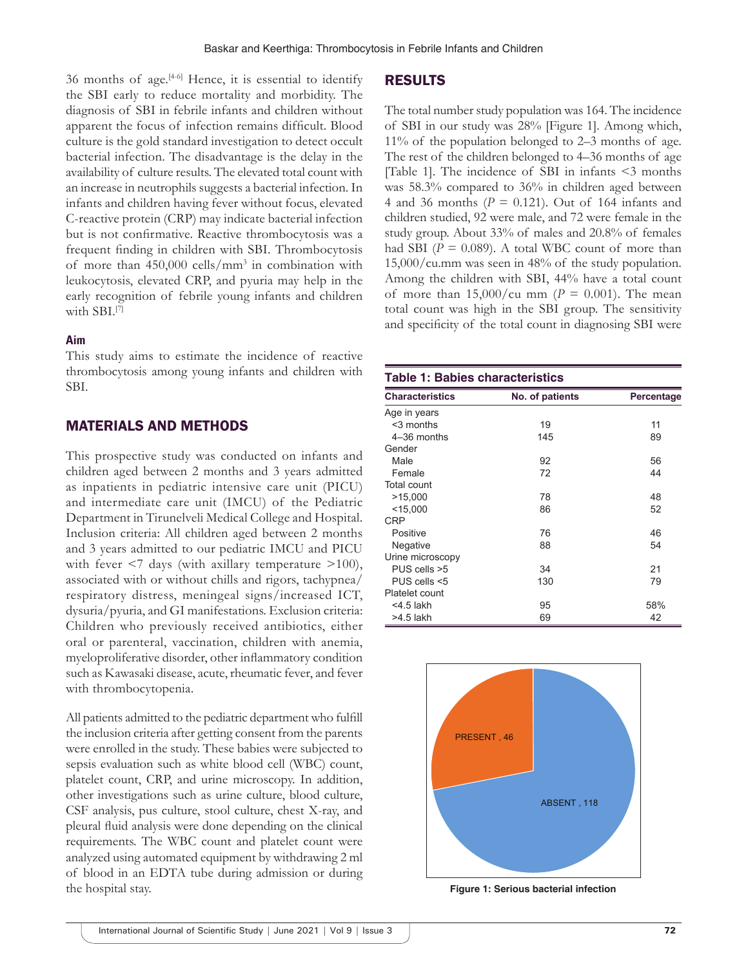## 36 months of age. $[4-6]$  Hence, it is essential to identify the SBI early to reduce mortality and morbidity. The diagnosis of SBI in febrile infants and children without apparent the focus of infection remains difficult. Blood culture is the gold standard investigation to detect occult bacterial infection. The disadvantage is the delay in the availability of culture results. The elevated total count with an increase in neutrophils suggests a bacterial infection. In infants and children having fever without focus, elevated C-reactive protein (CRP) may indicate bacterial infection but is not confirmative. Reactive thrombocytosis was a frequent finding in children with SBI. Thrombocytosis of more than 450,000 cells/mm3 in combination with leukocytosis, elevated CRP, and pyuria may help in the early recognition of febrile young infants and children with SBI.<sup>[7]</sup>

#### **Aim**

This study aims to estimate the incidence of reactive thrombocytosis among young infants and children with SBI.

## MATERIALS AND METHODS

This prospective study was conducted on infants and children aged between 2 months and 3 years admitted as inpatients in pediatric intensive care unit (PICU) and intermediate care unit (IMCU) of the Pediatric Department in Tirunelveli Medical College and Hospital. Inclusion criteria: All children aged between 2 months and 3 years admitted to our pediatric IMCU and PICU with fever  $\leq 7$  days (with axillary temperature  $\geq 100$ ), associated with or without chills and rigors, tachypnea/ respiratory distress, meningeal signs/increased ICT, dysuria/pyuria, and GI manifestations. Exclusion criteria: Children who previously received antibiotics, either oral or parenteral, vaccination, children with anemia, myeloproliferative disorder, other inflammatory condition such as Kawasaki disease, acute, rheumatic fever, and fever with thrombocytopenia.

All patients admitted to the pediatric department who fulfill the inclusion criteria after getting consent from the parents were enrolled in the study. These babies were subjected to sepsis evaluation such as white blood cell (WBC) count, platelet count, CRP, and urine microscopy. In addition, other investigations such as urine culture, blood culture, CSF analysis, pus culture, stool culture, chest X-ray, and pleural fluid analysis were done depending on the clinical requirements. The WBC count and platelet count were analyzed using automated equipment by withdrawing 2 ml of blood in an EDTA tube during admission or during the hospital stay.

## RESULTS

The total number study population was 164. The incidence of SBI in our study was 28% [Figure 1]. Among which, 11% of the population belonged to 2–3 months of age. The rest of the children belonged to 4–36 months of age [Table 1]. The incidence of SBI in infants <3 months was 58.3% compared to 36% in children aged between 4 and 36 months  $(P = 0.121)$ . Out of 164 infants and children studied, 92 were male, and 72 were female in the study group. About 33% of males and 20.8% of females had SBI ( $P = 0.089$ ). A total WBC count of more than 15,000/cu.mm was seen in 48% of the study population. Among the children with SBI, 44% have a total count of more than  $15,000/cu$  mm ( $P = 0.001$ ). The mean total count was high in the SBI group. The sensitivity and specificity of the total count in diagnosing SBI were

| <b>Table 1: Babies characteristics</b> |                 |            |  |  |  |
|----------------------------------------|-----------------|------------|--|--|--|
| <b>Characteristics</b>                 | No. of patients | Percentage |  |  |  |
| Age in years                           |                 |            |  |  |  |
| $3$ months                             | 19              | 11         |  |  |  |
| 4-36 months                            | 145             | 89         |  |  |  |
| Gender                                 |                 |            |  |  |  |
| Male                                   | 92              | 56         |  |  |  |
| Female                                 | 72              | 44         |  |  |  |
| Total count                            |                 |            |  |  |  |
| >15,000                                | 78              | 48         |  |  |  |
| $<$ 15,000                             | 86              | 52         |  |  |  |
| <b>CRP</b>                             |                 |            |  |  |  |
| Positive                               | 76              | 46         |  |  |  |
| Negative                               | 88              | 54         |  |  |  |
| Urine microscopy                       |                 |            |  |  |  |
| PUS cells >5                           | 34              | 21         |  |  |  |
| PUS cells <5                           | 130             | 79         |  |  |  |
| Platelet count                         |                 |            |  |  |  |
| $<$ 4.5 lakh                           | 95              | 58%        |  |  |  |
| $>4.5$ lakh                            | 69              | 42         |  |  |  |



**Figure 1: Serious bacterial infection**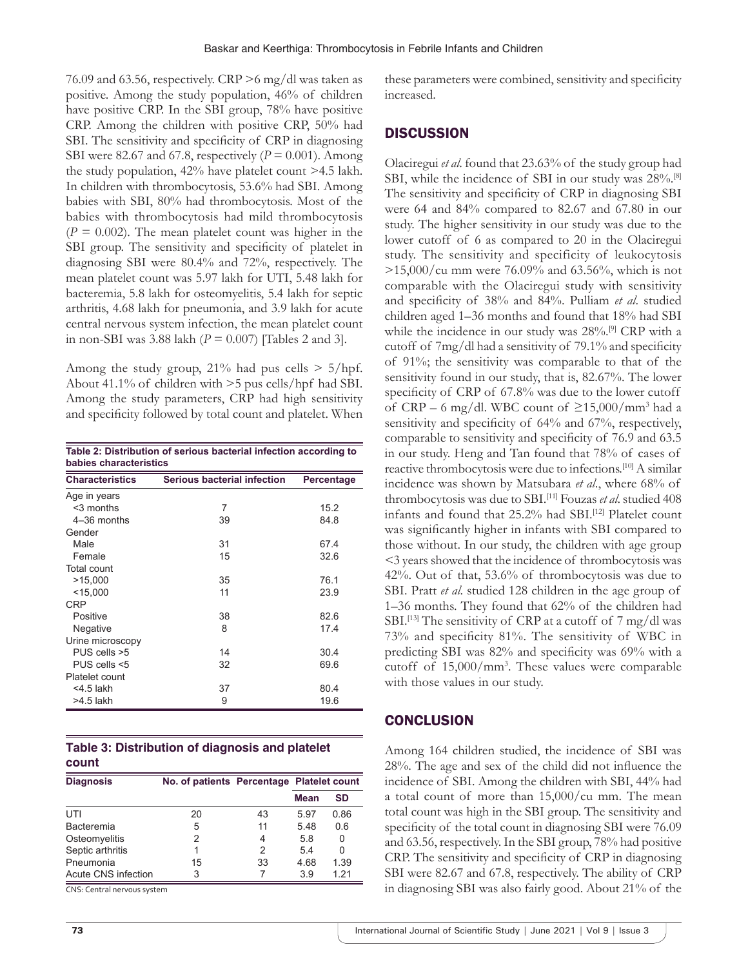76.09 and 63.56, respectively. CRP >6 mg/dl was taken as positive. Among the study population, 46% of children have positive CRP. In the SBI group, 78% have positive CRP. Among the children with positive CRP, 50% had SBI. The sensitivity and specificity of CRP in diagnosing SBI were 82.67 and 67.8, respectively  $(P = 0.001)$ . Among the study population, 42% have platelet count >4.5 lakh. In children with thrombocytosis, 53.6% had SBI. Among babies with SBI, 80% had thrombocytosis. Most of the babies with thrombocytosis had mild thrombocytosis  $(P = 0.002)$ . The mean platelet count was higher in the SBI group. The sensitivity and specificity of platelet in diagnosing SBI were 80.4% and 72%, respectively. The mean platelet count was 5.97 lakh for UTI, 5.48 lakh for bacteremia, 5.8 lakh for osteomyelitis, 5.4 lakh for septic arthritis, 4.68 lakh for pneumonia, and 3.9 lakh for acute central nervous system infection, the mean platelet count in non-SBI was 3.88 lakh (*P* = 0.007) [Tables 2 and 3].

Among the study group,  $21\%$  had pus cells  $> 5/hpf$ . About 41.1% of children with >5 pus cells/hpf had SBI. Among the study parameters, CRP had high sensitivity and specificity followed by total count and platelet. When

| Table 2: Distribution of serious bacterial infection according to<br>babies characteristics |                                    |            |  |  |  |
|---------------------------------------------------------------------------------------------|------------------------------------|------------|--|--|--|
| <b>Characteristics</b>                                                                      | <b>Serious bacterial infection</b> | Percentage |  |  |  |
| Age in years                                                                                |                                    |            |  |  |  |
| $3$ months                                                                                  | 7                                  | 15.2       |  |  |  |
| 4-36 months                                                                                 | 39                                 | 84.8       |  |  |  |
| Gender                                                                                      |                                    |            |  |  |  |
| Male                                                                                        | 31                                 | 67.4       |  |  |  |
| Female                                                                                      | 15                                 | 32.6       |  |  |  |
| Total count                                                                                 |                                    |            |  |  |  |
| >15,000                                                                                     | 35                                 | 76.1       |  |  |  |
| $<$ 15,000                                                                                  | 11                                 | 23.9       |  |  |  |
| CRP                                                                                         |                                    |            |  |  |  |
| Positive                                                                                    | 38                                 | 82.6       |  |  |  |
| Negative                                                                                    | 8                                  | 17.4       |  |  |  |
| Urine microscopy                                                                            |                                    |            |  |  |  |
| PUS cells >5                                                                                | 14                                 | 30.4       |  |  |  |
| PUS cells <5                                                                                | 32                                 | 69.6       |  |  |  |
| Platelet count                                                                              |                                    |            |  |  |  |
| <4.5 lakh                                                                                   | 37                                 | 80.4       |  |  |  |
| $>4.5$ lakh                                                                                 | 9                                  | 19.6       |  |  |  |

|       | Table 3: Distribution of diagnosis and platelet |  |
|-------|-------------------------------------------------|--|
| count |                                                 |  |

| <b>Diagnosis</b>    | No. of patients Percentage Platelet count |    |      |           |
|---------------------|-------------------------------------------|----|------|-----------|
|                     |                                           |    | Mean | <b>SD</b> |
| UTI                 | 20                                        | 43 | 5.97 | 0.86      |
| <b>Bacteremia</b>   | 5                                         | 11 | 5.48 | 0.6       |
| Osteomyelitis       | 2                                         | 4  | 5.8  | $\Omega$  |
| Septic arthritis    |                                           | 2  | 5.4  | 0         |
| Pneumonia           | 15                                        | 33 | 4.68 | 1.39      |
| Acute CNS infection | 3                                         |    | 3.9  | 1 21      |

CNS: Central nervous system

# **DISCUSSION**

Olaciregui *et al*. found that 23.63% of the study group had SBI, while the incidence of SBI in our study was  $28\%$ .<sup>[8]</sup> The sensitivity and specificity of CRP in diagnosing SBI were 64 and 84% compared to 82.67 and 67.80 in our study. The higher sensitivity in our study was due to the lower cutoff of 6 as compared to 20 in the Olaciregui study. The sensitivity and specificity of leukocytosis  $>15,000/cu$  mm were 76.09% and 63.56%, which is not comparable with the Olaciregui study with sensitivity and specificity of 38% and 84%. Pulliam *et al*. studied children aged 1–36 months and found that 18% had SBI while the incidence in our study was 28%.[9] CRP with a cutoff of 7mg/dl had a sensitivity of 79.1% and specificity of 91%; the sensitivity was comparable to that of the sensitivity found in our study, that is, 82.67%. The lower specificity of CRP of 67.8% was due to the lower cutoff of  $CRP - 6$  mg/dl. WBC count of  $\geq 15,000/mm^3$  had a sensitivity and specificity of 64% and 67%, respectively, comparable to sensitivity and specificity of 76.9 and 63.5 in our study. Heng and Tan found that 78% of cases of reactive thrombocytosis were due to infections.[10] A similar incidence was shown by Matsubara *et al*., where 68% of thrombocytosis was due to SBI.[11] Fouzas *et al*. studied 408 infants and found that 25.2% had SBI.<sup>[12]</sup> Platelet count was significantly higher in infants with SBI compared to those without. In our study, the children with age group <3 years showed that the incidence of thrombocytosis was 42%. Out of that, 53.6% of thrombocytosis was due to SBI. Pratt *et al*. studied 128 children in the age group of 1–36 months. They found that 62% of the children had SBI.<sup>[13]</sup> The sensitivity of CRP at a cutoff of 7 mg/dl was 73% and specificity 81%. The sensitivity of WBC in predicting SBI was 82% and specificity was 69% with a cutoff of 15,000/mm3 . These values were comparable with those values in our study.

# **CONCLUSION**

Among 164 children studied, the incidence of SBI was 28%. The age and sex of the child did not influence the incidence of SBI. Among the children with SBI, 44% had a total count of more than 15,000/cu mm. The mean total count was high in the SBI group. The sensitivity and specificity of the total count in diagnosing SBI were 76.09 and 63.56, respectively. In the SBI group, 78% had positive CRP. The sensitivity and specificity of CRP in diagnosing SBI were 82.67 and 67.8, respectively. The ability of CRP in diagnosing SBI was also fairly good. About 21% of the